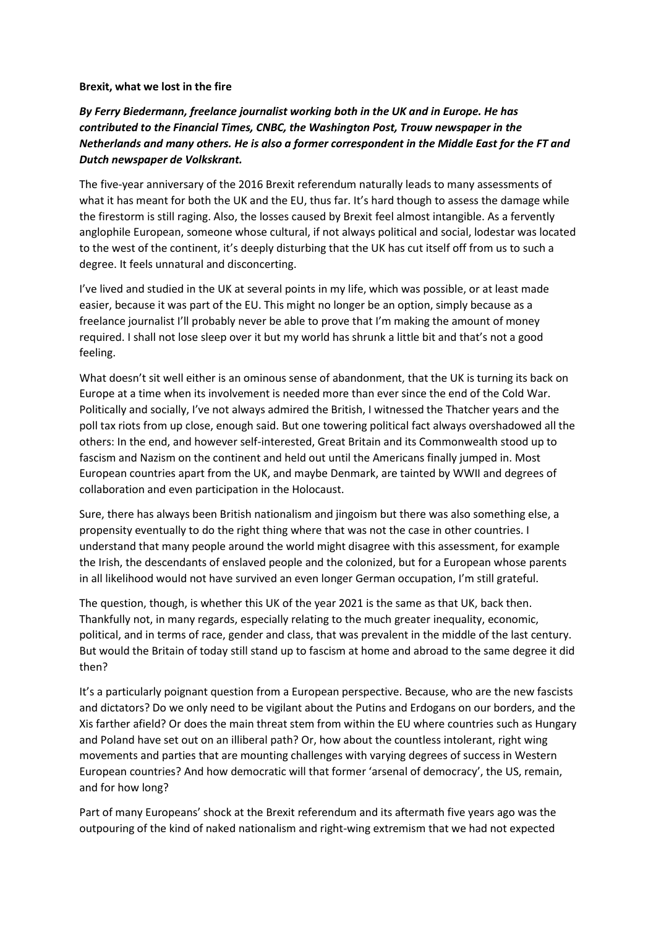## **Brexit, what we lost in the fire**

## *By Ferry Biedermann, freelance journalist working both in the UK and in Europe. He has contributed to the Financial Times, CNBC, the Washington Post, Trouw newspaper in the Netherlands and many others. He is also a former correspondent in the Middle East for the FT and Dutch newspaper de Volkskrant.*

The five-year anniversary of the 2016 Brexit referendum naturally leads to many assessments of what it has meant for both the UK and the EU, thus far. It's hard though to assess the damage while the firestorm is still raging. Also, the losses caused by Brexit feel almost intangible. As a fervently anglophile European, someone whose cultural, if not always political and social, lodestar was located to the west of the continent, it's deeply disturbing that the UK has cut itself off from us to such a degree. It feels unnatural and disconcerting.

I've lived and studied in the UK at several points in my life, which was possible, or at least made easier, because it was part of the EU. This might no longer be an option, simply because as a freelance journalist I'll probably never be able to prove that I'm making the amount of money required. I shall not lose sleep over it but my world has shrunk a little bit and that's not a good feeling.

What doesn't sit well either is an ominous sense of abandonment, that the UK is turning its back on Europe at a time when its involvement is needed more than ever since the end of the Cold War. Politically and socially, I've not always admired the British, I witnessed the Thatcher years and the poll tax riots from up close, enough said. But one towering political fact always overshadowed all the others: In the end, and however self-interested, Great Britain and its Commonwealth stood up to fascism and Nazism on the continent and held out until the Americans finally jumped in. Most European countries apart from the UK, and maybe Denmark, are tainted by WWII and degrees of collaboration and even participation in the Holocaust.

Sure, there has always been British nationalism and jingoism but there was also something else, a propensity eventually to do the right thing where that was not the case in other countries. I understand that many people around the world might disagree with this assessment, for example the Irish, the descendants of enslaved people and the colonized, but for a European whose parents in all likelihood would not have survived an even longer German occupation, I'm still grateful.

The question, though, is whether this UK of the year 2021 is the same as that UK, back then. Thankfully not, in many regards, especially relating to the much greater inequality, economic, political, and in terms of race, gender and class, that was prevalent in the middle of the last century. But would the Britain of today still stand up to fascism at home and abroad to the same degree it did then?

It's a particularly poignant question from a European perspective. Because, who are the new fascists and dictators? Do we only need to be vigilant about the Putins and Erdogans on our borders, and the Xis farther afield? Or does the main threat stem from within the EU where countries such as Hungary and Poland have set out on an illiberal path? Or, how about the countless intolerant, right wing movements and parties that are mounting challenges with varying degrees of success in Western European countries? And how democratic will that former 'arsenal of democracy', the US, remain, and for how long?

Part of many Europeans' shock at the Brexit referendum and its aftermath five years ago was the outpouring of the kind of naked nationalism and right-wing extremism that we had not expected